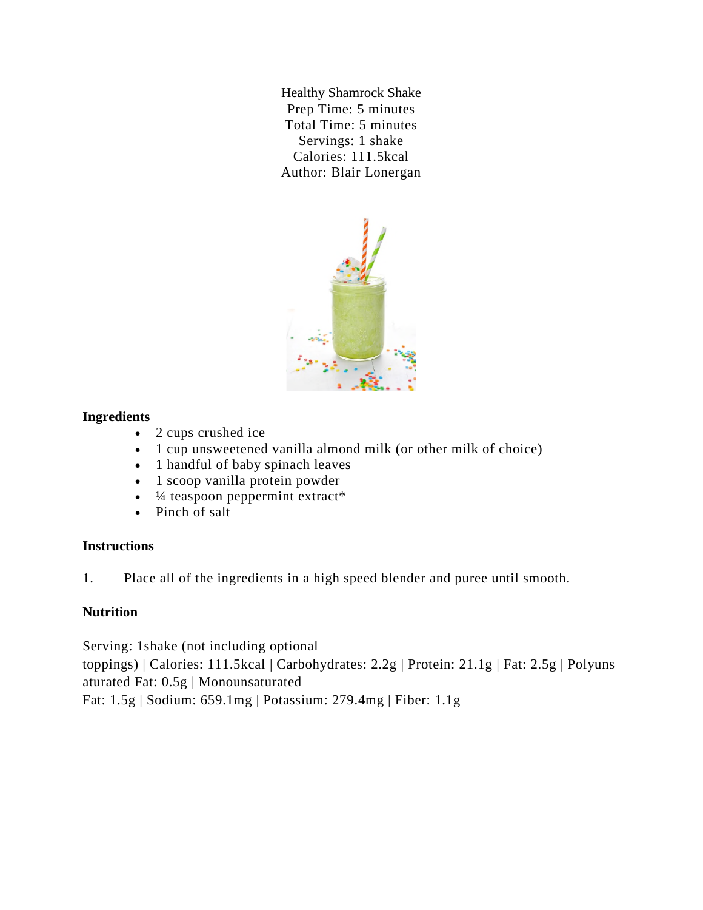Healthy Shamrock Shake Prep Time: 5 minutes Total Time: 5 minutes Servings: 1 shake Calories: 111.5kcal Author: Blair Lonergan



### **Ingredients**

- 2 cups crushed ice
- 1 cup unsweetened vanilla almond milk (or other milk of choice)
- 1 handful of baby spinach leaves
- 1 scoop vanilla protein powder
- $\frac{1}{4}$  teaspoon peppermint extract\*
- Pinch of salt

# **Instructions**

1. Place all of the ingredients in a high speed blender and puree until smooth.

# **Nutrition**

Serving: 1shake (not including optional toppings) | Calories: 111.5kcal | Carbohydrates: 2.2g | Protein: 21.1g | Fat: 2.5g | Polyuns aturated Fat: 0.5g | Monounsaturated Fat: 1.5g | Sodium: 659.1mg | Potassium: 279.4mg | Fiber: 1.1g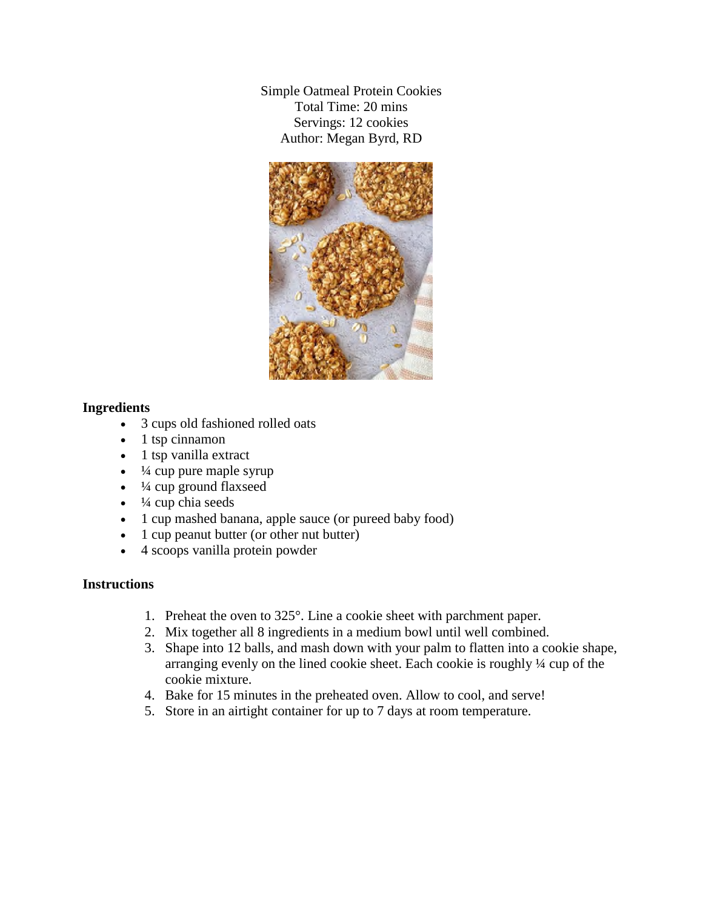Simple Oatmeal Protein Cookies Total Time: 20 mins Servings: 12 cookies Author: Megan Byrd, RD



### **Ingredients**

- 3 cups old fashioned rolled oats
- $\bullet$  1 tsp cinnamon
- 1 tsp vanilla extract
- $\cdot$   $\frac{1}{4}$  cup pure maple syrup
- $\cdot$   $\frac{1}{4}$  cup ground flaxseed
- $\cdot$   $\frac{1}{4}$  cup chia seeds
- 1 cup mashed banana, apple sauce (or pureed baby food)
- 1 cup peanut butter (or other nut butter)
- 4 scoops vanilla protein powder

### **Instructions**

- 1. Preheat the oven to 325°. Line a cookie sheet with parchment paper.
- 2. Mix together all 8 ingredients in a medium bowl until well combined.
- 3. Shape into 12 balls, and mash down with your palm to flatten into a cookie shape, arranging evenly on the lined cookie sheet. Each cookie is roughly ¼ cup of the cookie mixture.
- 4. Bake for 15 minutes in the preheated oven. Allow to cool, and serve!
- 5. Store in an airtight container for up to 7 days at room temperature.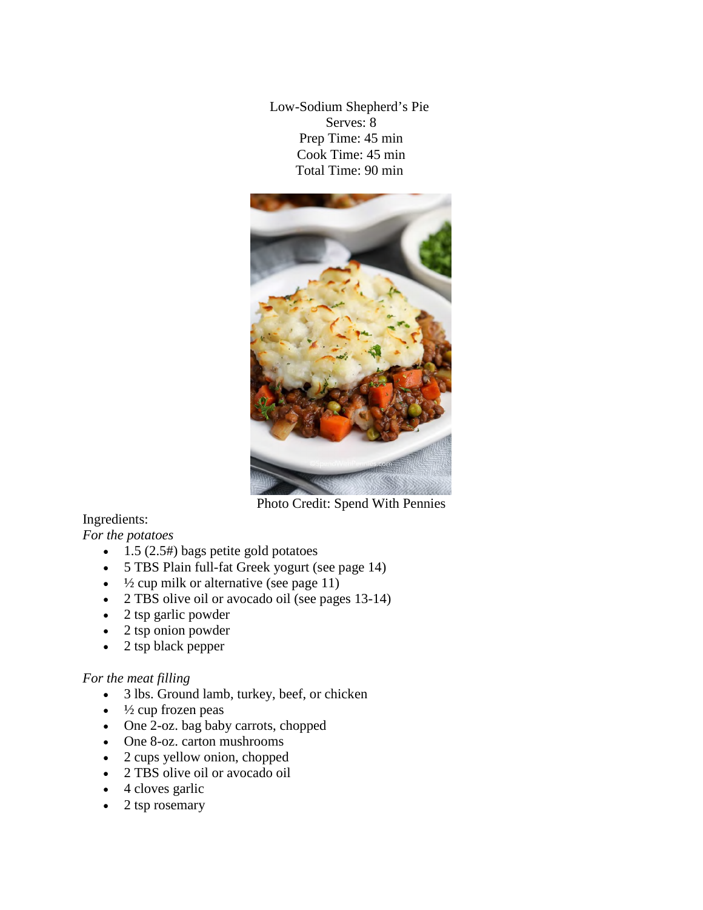Low-Sodium Shepherd's Pie Serves: 8 Prep Time: 45 min Cook Time: 45 min Total Time: 90 min



Photo Credit: Spend With Pennies

# Ingredients:

*For the potatoes*

- $\bullet$  1.5 (2.5#) bags petite gold potatoes
- 5 TBS Plain full-fat Greek yogurt (see page 14)
- $\cdot$   $\frac{1}{2}$  cup milk or alternative (see page 11)
- 2 TBS olive oil or avocado oil (see pages 13-14)
- 2 tsp garlic powder
- 2 tsp onion powder
- $\bullet$  2 tsp black pepper

### *For the meat filling*

- 3 lbs. Ground lamb, turkey, beef, or chicken
- $\cdot$   $\frac{1}{2}$  cup frozen peas
- One 2-oz. bag baby carrots, chopped
- One 8-oz. carton mushrooms
- 2 cups yellow onion, chopped
- 2 TBS olive oil or avocado oil
- 4 cloves garlic
- $\bullet$  2 tsp rosemary